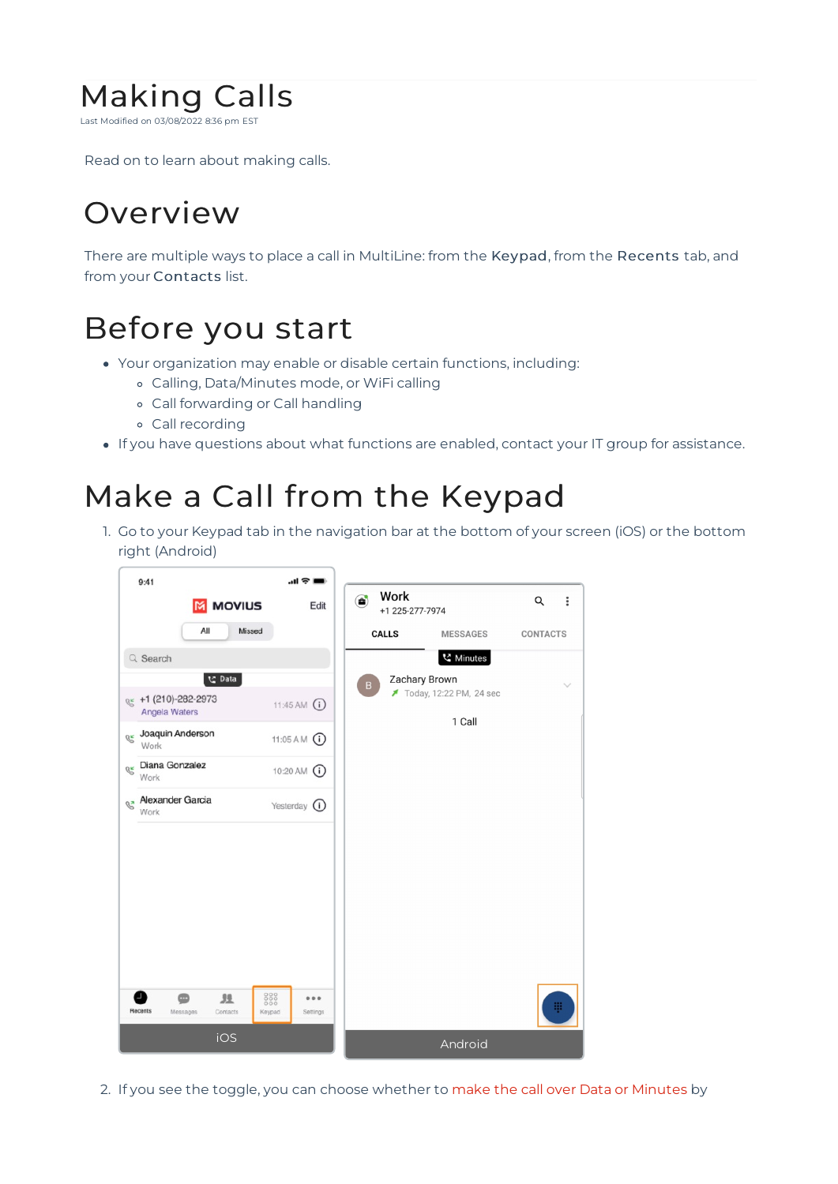

Read on to learn about making calls.

## Overview

There are multiple ways to place a call in MultiLine: from the Keypad, from the Recents tab, and from your Contacts list.

## Before you start

- Your organization may enable or disable certain functions, including:
	- Calling, Data/Minutes mode, or WiFi calling
	- Call forwarding or Call handling
	- Call recording
- If you have questions about what functions are enabled, contact your IT group for assistance.

#### Make a Call from the Keypad

1. Go to your Keypad tab in the navigation bar at the bottom of your screen (iOS) or the bottom right (Android)



2. If you see the toggle, you can choose whether to make the call over Data or Minutes by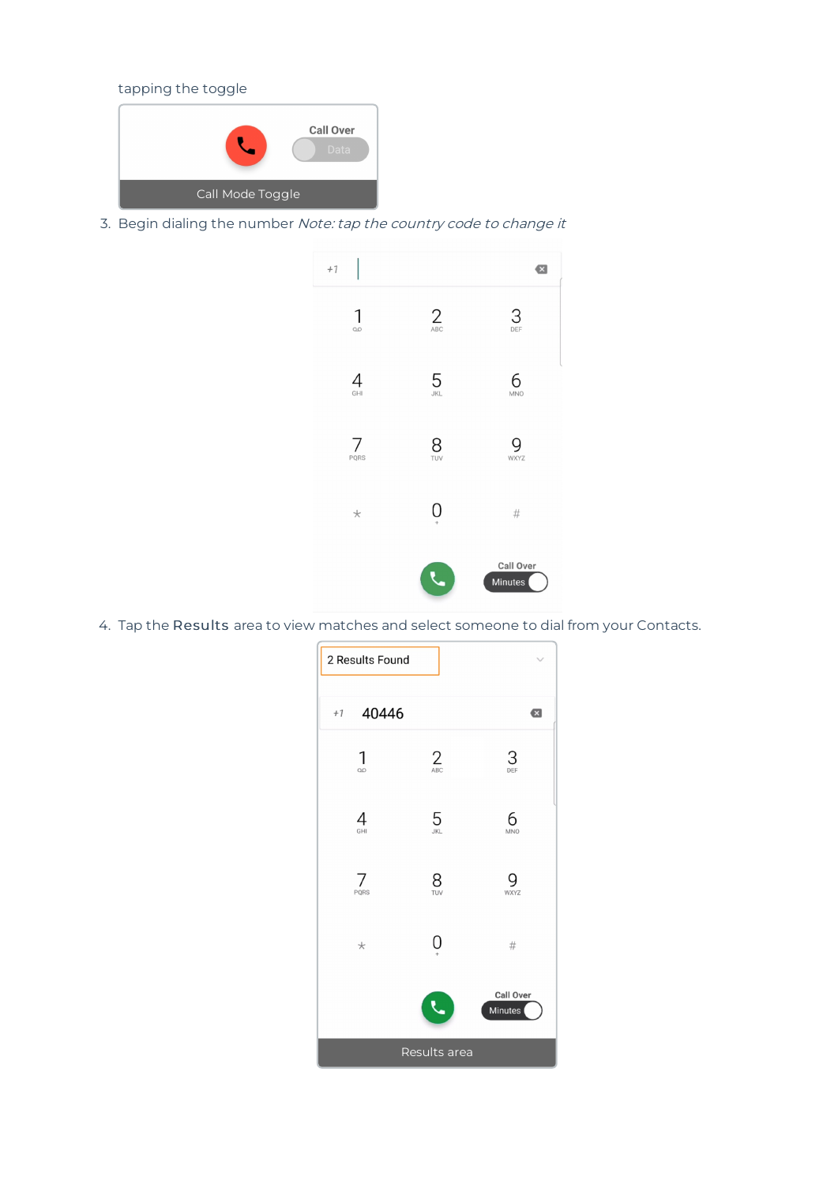tapping the toggle



3. Begin dialing the number Note: tap the country code to change it



4. Tap the Results area to view matches and select someone to dial from your Contacts.

| 2 Results Found |          |                             |
|-----------------|----------|-----------------------------|
| 40446<br>$+1$   |          | $\bullet$                   |
| 1<br>$\infty$   | 2        | $\frac{3}{\pi}$             |
| 4<br>GHI        | $5~$     | 6<br><b>MNO</b>             |
| 7<br>PQRS       | 8<br>TUV | WXYZ                        |
| $^{\star}$      | Ô        | #                           |
|                 |          | <b>Call Over</b><br>Minutes |
| Results area    |          |                             |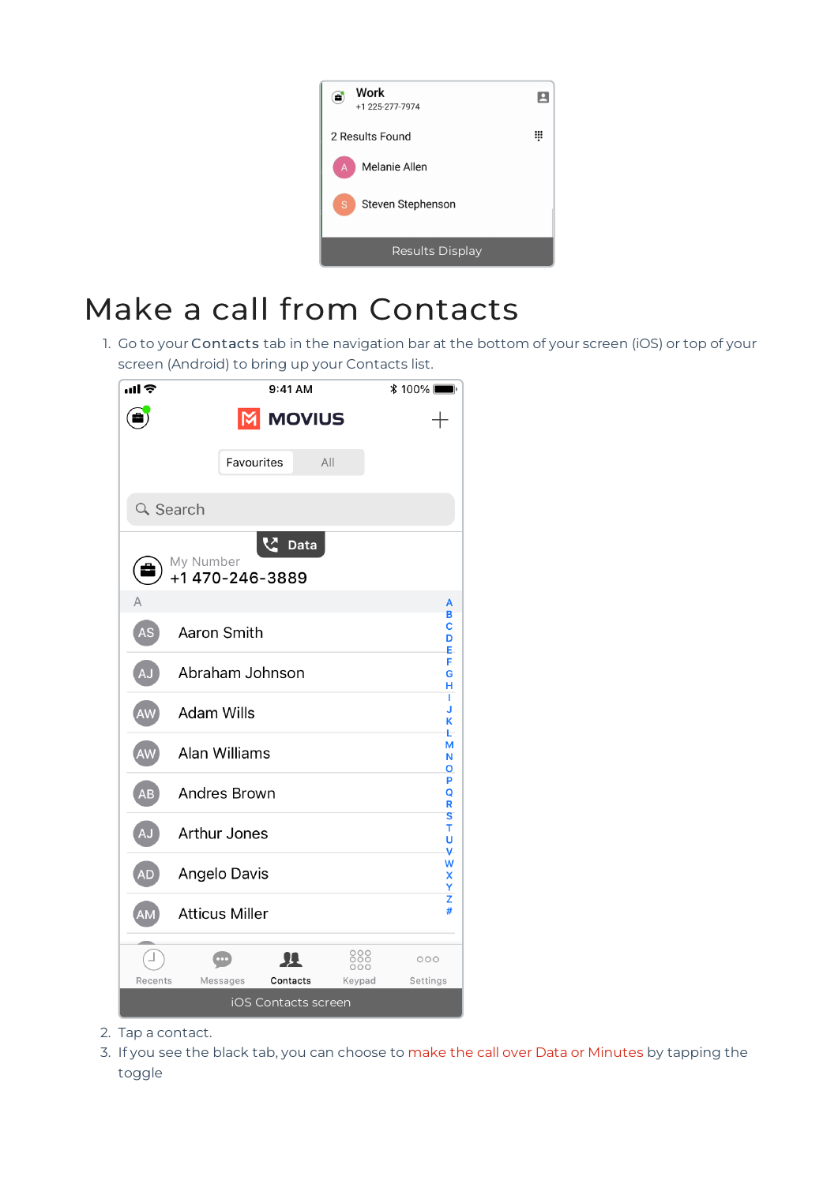

# Make a call from Contacts

1. Go to your Contacts tab in the navigation bar at the bottom of your screen (iOS) or top of your screen (Android) to bring up your Contacts list.



- 2. Tap a contact.
- 3. If you see the black tab, you can choose to make the call over Data or Minutes by tapping the toggle